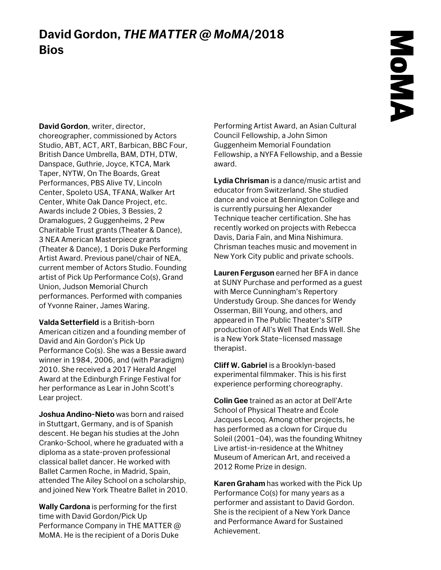## **David Gordon,** *THE MATTER @ MoMA***/2018 Bios**

**David Gordon**, writer, director, choreographer, commissioned by Actors

Studio, ABT, ACT, ART, Barbican, BBC Four, British Dance Umbrella, BAM, DTH, DTW, Danspace, Guthrie, Joyce, KTCA, Mark Taper, NYTW, On The Boards, Great Performances, PBS Alive TV, Lincoln Center, Spoleto USA, TFANA, Walker Art Center, White Oak Dance Project, etc. Awards include 2 Obies, 3 Bessies, 2 Dramalogues, 2 Guggenheims, 2 Pew Charitable Trust grants (Theater & Dance), 3 NEA American Masterpiece grants (Theater & Dance), 1 Doris Duke Performing Artist Award. Previous panel/chair of NEA, current member of Actors Studio. Founding artist of Pick Up Performance Co(s), Grand Union, Judson Memorial Church performances. Performed with companies of Yvonne Rainer, James Waring.

**Valda Setterfield** is a British-born American citizen and a founding member of David and Ain Gordon's Pick Up Performance Co(s). She was a Bessie award winner in 1984, 2006, and (with Paradigm) 2010. She received a 2017 Herald Angel Award at the Edinburgh Fringe Festival for her performance as Lear in John Scott's Lear project.

**Joshua Andino-Nieto** was born and raised in Stuttgart, Germany, and is of Spanish descent. He began his studies at the John Cranko-School, where he graduated with a diploma as a state-proven professional classical ballet dancer. He worked with Ballet Carmen Roche, in Madrid, Spain, attended The Ailey School on a scholarship, and joined New York Theatre Ballet in 2010.

**Wally Cardona** is performing for the first time with David Gordon/Pick Up Performance Company in THE MATTER @ MoMA. He is the recipient of a Doris Duke

Performing Artist Award, an Asian Cultural Council Fellowship, a John Simon Guggenheim Memorial Foundation Fellowship, a NYFA Fellowship, and a Bessie award.

**Lydia Chrisman** is a dance/music artist and educator from Switzerland. She studied dance and voice at Bennington College and is currently pursuing her Alexander Technique teacher certification. She has recently worked on projects with Rebecca Davis, Daria Faïn, and Mina Nishimura. Chrisman teaches music and movement in New York City public and private schools.

**Lauren Ferguson** earned her BFA in dance at SUNY Purchase and performed as a guest with Merce Cunningham's Repertory Understudy Group. She dances for Wendy Osserman, Bill Young, and others, and appeared in The Public Theater's SITP production of All's Well That Ends Well. She is a New York State–licensed massage therapist.

**Cliff W. Gabriel** is a Brooklyn-based experimental filmmaker. This is his first experience performing choreography.

**Colin Gee** trained as an actor at Dell'Arte School of Physical Theatre and École Jacques Lecoq. Among other projects, he has performed as a clown for Cirque du Soleil (2001–04), was the founding Whitney Live artist-in-residence at the Whitney Museum of American Art, and received a 2012 Rome Prize in design.

**Karen Graham** has worked with the Pick Up Performance Co(s) for many years as a performer and assistant to David Gordon. She is the recipient of a New York Dance and Performance Award for Sustained Achievement.